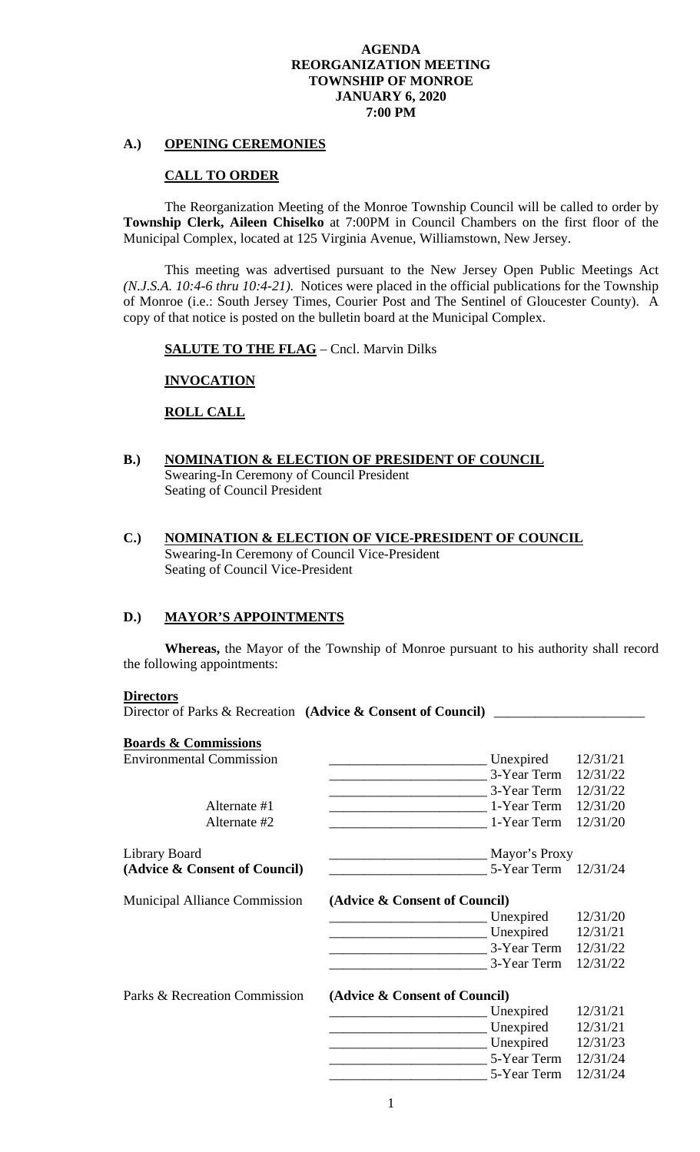### **A.) OPENING CEREMONIES**

#### **CALL TO ORDER**

 The Reorganization Meeting of the Monroe Township Council will be called to order by **Township Clerk, Aileen Chiselko** at 7:00PM in Council Chambers on the first floor of the Municipal Complex, located at 125 Virginia Avenue, Williamstown, New Jersey.

 This meeting was advertised pursuant to the New Jersey Open Public Meetings Act *(N.J.S.A. 10:4-6 thru 10:4-21)*.Notices were placed in the official publications for the Township of Monroe (i.e.: South Jersey Times, Courier Post and The Sentinel of Gloucester County). A copy of that notice is posted on the bulletin board at the Municipal Complex.

**SALUTE TO THE FLAG** – Cncl. Marvin Dilks

### **INVOCATION**

**ROLL CALL**

- **B.) NOMINATION & ELECTION OF PRESIDENT OF COUNCIL**  Swearing-In Ceremony of Council President Seating of Council President
- **C.) NOMINATION & ELECTION OF VICE-PRESIDENT OF COUNCIL**  Swearing-In Ceremony of Council Vice-President Seating of Council Vice-President

## **D.) MAYOR'S APPOINTMENTS**

**Whereas,** the Mayor of the Township of Monroe pursuant to his authority shall record the following appointments:

#### **Directors**

Director of Parks & Recreation **(Advice & Consent of Council)** 

#### **Boards & Commissions**

| <b>Environmental Commission</b>      | Unexpired                     | 12/31/21 |  |
|--------------------------------------|-------------------------------|----------|--|
|                                      | 3-Year Term                   | 12/31/22 |  |
|                                      | 3-Year Term                   | 12/31/22 |  |
| Alternate #1                         | 1-Year Term                   | 12/31/20 |  |
| Alternate #2                         | 1-Year Term                   | 12/31/20 |  |
| Library Board                        | Mayor's Proxy                 |          |  |
| (Advice & Consent of Council)        | 5-Year Term 12/31/24          |          |  |
| <b>Municipal Alliance Commission</b> | (Advice & Consent of Council) |          |  |
|                                      | Unexpired                     | 12/31/20 |  |
|                                      | Unexpired                     | 12/31/21 |  |
|                                      | 3-Year Term                   | 12/31/22 |  |
|                                      | 3-Year Term                   | 12/31/22 |  |
| Parks & Recreation Commission        | (Advice & Consent of Council) |          |  |
|                                      | Unexpired                     | 12/31/21 |  |
|                                      | Unexpired                     | 12/31/21 |  |
|                                      | Unexpired                     | 12/31/23 |  |
|                                      | 5-Year Term                   | 12/31/24 |  |
|                                      | 5-Year Term                   | 12/31/24 |  |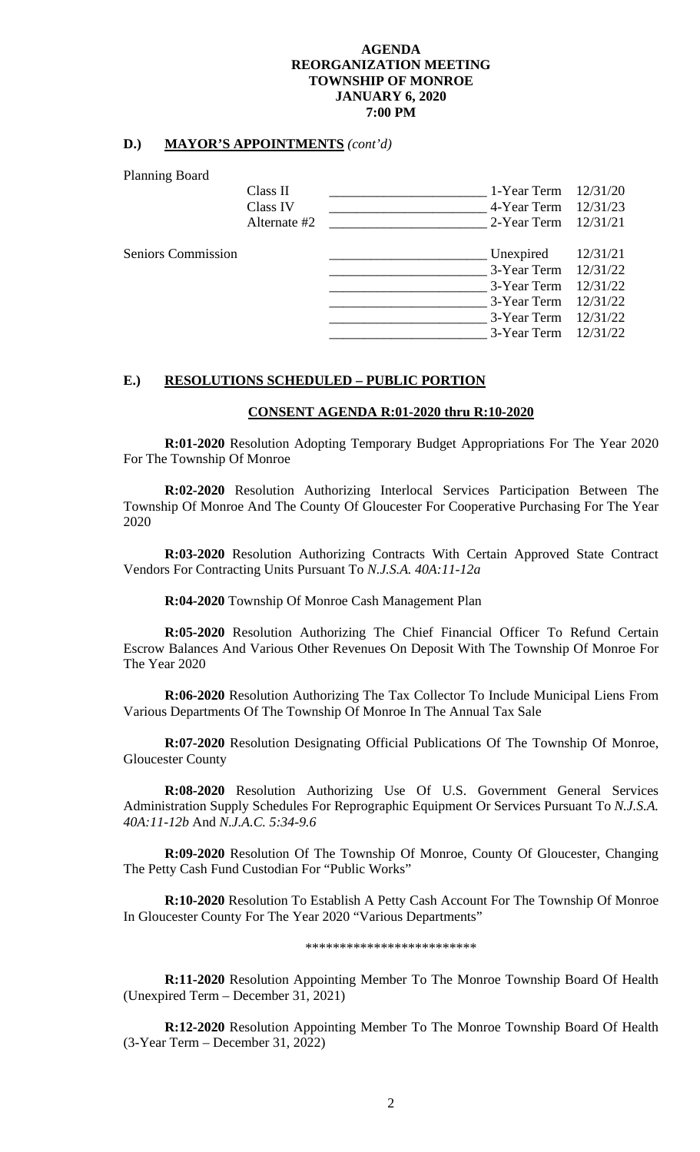### **D.) MAYOR'S APPOINTMENTS** *(cont'd)*

Planning Board

| $1 \dots 1$               |                          |                                              |
|---------------------------|--------------------------|----------------------------------------------|
|                           | Class II                 | 1-Year Term $12/31/20$                       |
|                           | Class IV<br>Alternate #2 | 4-Year Term 12/31/23<br>2-Year Term 12/31/21 |
|                           |                          |                                              |
| <b>Seniors Commission</b> |                          | Unexpired<br>12/31/21                        |
|                           |                          | 3-Year Term 12/31/22                         |
|                           |                          | 3-Year Term 12/31/22                         |
|                           |                          | 3-Year Term 12/31/22                         |
|                           |                          | 3-Year Term 12/31/22                         |
|                           |                          | 3-Year Term 12/31/22                         |
|                           |                          |                                              |

## **E.) RESOLUTIONS SCHEDULED – PUBLIC PORTION**

#### **CONSENT AGENDA R:01-2020 thru R:10-2020**

 **R:01-2020** Resolution Adopting Temporary Budget Appropriations For The Year 2020 For The Township Of Monroe

 **R:02-2020** Resolution Authorizing Interlocal Services Participation Between The Township Of Monroe And The County Of Gloucester For Cooperative Purchasing For The Year 2020

 **R:03-2020** Resolution Authorizing Contracts With Certain Approved State Contract Vendors For Contracting Units Pursuant To *N.J.S.A. 40A:11-12a* 

 **R:04-2020** Township Of Monroe Cash Management Plan

 **R:05-2020** Resolution Authorizing The Chief Financial Officer To Refund Certain Escrow Balances And Various Other Revenues On Deposit With The Township Of Monroe For The Year 2020

 **R:06-2020** Resolution Authorizing The Tax Collector To Include Municipal Liens From Various Departments Of The Township Of Monroe In The Annual Tax Sale

 **R:07-2020** Resolution Designating Official Publications Of The Township Of Monroe, Gloucester County

 **R:08-2020** Resolution Authorizing Use Of U.S. Government General Services Administration Supply Schedules For Reprographic Equipment Or Services Pursuant To *N.J.S.A. 40A:11-12b* And *N.J.A.C. 5:34-9.6* 

**R:09-2020** Resolution Of The Township Of Monroe, County Of Gloucester, Changing The Petty Cash Fund Custodian For "Public Works"

**R:10-2020** Resolution To Establish A Petty Cash Account For The Township Of Monroe In Gloucester County For The Year 2020 "Various Departments"

\*\*\*\*\*\*\*\*\*\*\*\*\*\*\*\*\*\*\*\*\*\*\*\*\*

**R:11-2020** Resolution Appointing Member To The Monroe Township Board Of Health (Unexpired Term – December 31, 2021)

 **R:12-2020** Resolution Appointing Member To The Monroe Township Board Of Health (3-Year Term – December 31, 2022)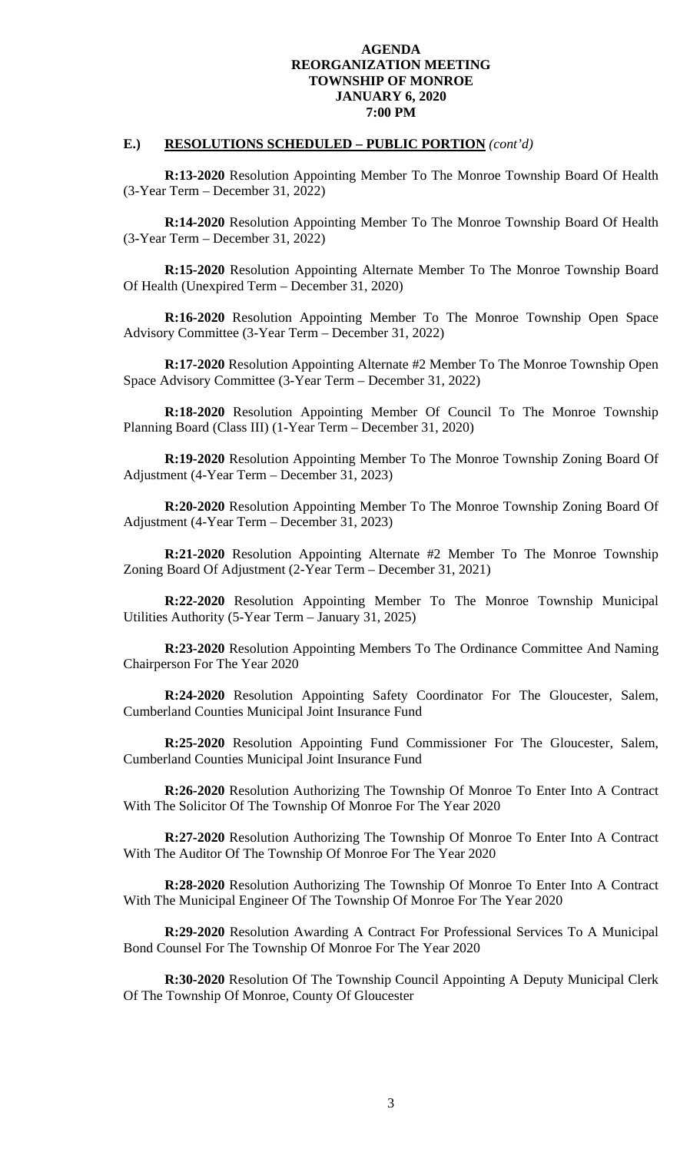## **E.) RESOLUTIONS SCHEDULED – PUBLIC PORTION** *(cont'd)*

 **R:13-2020** Resolution Appointing Member To The Monroe Township Board Of Health (3-Year Term – December 31, 2022)

 **R:14-2020** Resolution Appointing Member To The Monroe Township Board Of Health (3-Year Term – December 31, 2022)

**R:15-2020** Resolution Appointing Alternate Member To The Monroe Township Board Of Health (Unexpired Term – December 31, 2020)

 **R:16-2020** Resolution Appointing Member To The Monroe Township Open Space Advisory Committee (3-Year Term – December 31, 2022)

**R:17-2020** Resolution Appointing Alternate #2 Member To The Monroe Township Open Space Advisory Committee (3-Year Term – December 31, 2022)

 **R:18-2020** Resolution Appointing Member Of Council To The Monroe Township Planning Board (Class III) (1-Year Term – December 31, 2020)

 **R:19-2020** Resolution Appointing Member To The Monroe Township Zoning Board Of Adjustment (4-Year Term – December 31, 2023)

**R:20-2020** Resolution Appointing Member To The Monroe Township Zoning Board Of Adjustment (4-Year Term – December 31, 2023)

**R:21-2020** Resolution Appointing Alternate #2 Member To The Monroe Township Zoning Board Of Adjustment (2-Year Term – December 31, 2021)

 **R:22-2020** Resolution Appointing Member To The Monroe Township Municipal Utilities Authority (5-Year Term – January 31, 2025)

 **R:23-2020** Resolution Appointing Members To The Ordinance Committee And Naming Chairperson For The Year 2020

**R:24-2020** Resolution Appointing Safety Coordinator For The Gloucester, Salem, Cumberland Counties Municipal Joint Insurance Fund

**R:25-2020** Resolution Appointing Fund Commissioner For The Gloucester, Salem, Cumberland Counties Municipal Joint Insurance Fund

**R:26-2020** Resolution Authorizing The Township Of Monroe To Enter Into A Contract With The Solicitor Of The Township Of Monroe For The Year 2020

**R:27-2020** Resolution Authorizing The Township Of Monroe To Enter Into A Contract With The Auditor Of The Township Of Monroe For The Year 2020

**R:28-2020** Resolution Authorizing The Township Of Monroe To Enter Into A Contract With The Municipal Engineer Of The Township Of Monroe For The Year 2020

**R:29-2020** Resolution Awarding A Contract For Professional Services To A Municipal Bond Counsel For The Township Of Monroe For The Year 2020

 **R:30-2020** Resolution Of The Township Council Appointing A Deputy Municipal Clerk Of The Township Of Monroe, County Of Gloucester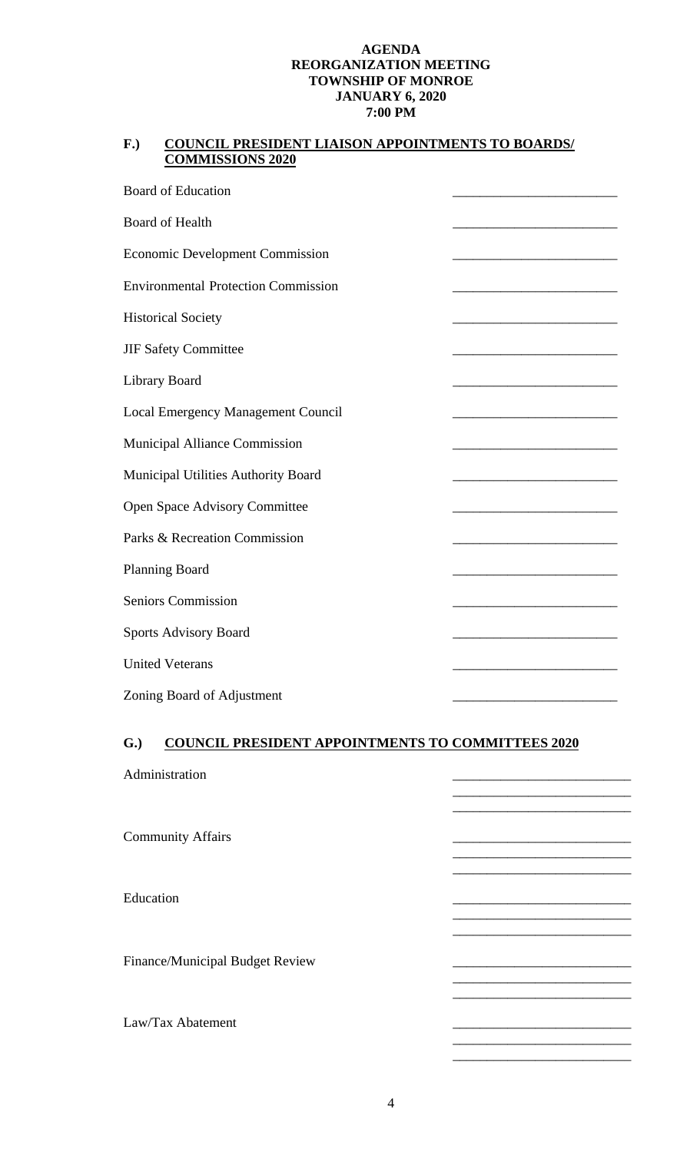## **F.) COUNCIL PRESIDENT LIAISON APPOINTMENTS TO BOARDS/ COMMISSIONS 2020**

| <b>Board of Education</b>                  |                                                                                                                        |
|--------------------------------------------|------------------------------------------------------------------------------------------------------------------------|
| <b>Board of Health</b>                     |                                                                                                                        |
| <b>Economic Development Commission</b>     |                                                                                                                        |
| <b>Environmental Protection Commission</b> |                                                                                                                        |
| <b>Historical Society</b>                  |                                                                                                                        |
| JIF Safety Committee                       |                                                                                                                        |
| Library Board                              |                                                                                                                        |
| <b>Local Emergency Management Council</b>  |                                                                                                                        |
| <b>Municipal Alliance Commission</b>       |                                                                                                                        |
| Municipal Utilities Authority Board        |                                                                                                                        |
| Open Space Advisory Committee              | <u> 1989 - Johann John Stone, mars et al. 1989 - John Stone, mars et al. 1989 - John Stone, mars et al. 1989 - Joh</u> |
| Parks & Recreation Commission              |                                                                                                                        |
| Planning Board                             |                                                                                                                        |
| <b>Seniors Commission</b>                  |                                                                                                                        |
| <b>Sports Advisory Board</b>               |                                                                                                                        |
| <b>United Veterans</b>                     |                                                                                                                        |
| Zoning Board of Adjustment                 |                                                                                                                        |

# **G.) COUNCIL PRESIDENT APPOINTMENTS TO COMMITTEES 2020**

| Administration                  |  |
|---------------------------------|--|
| <b>Community Affairs</b>        |  |
| Education                       |  |
| Finance/Municipal Budget Review |  |
| Law/Tax Abatement               |  |